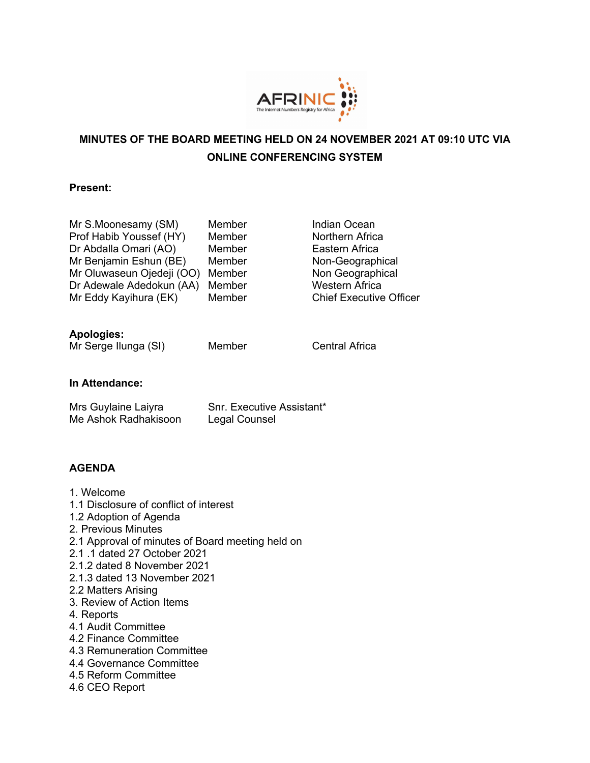

# **MINUTES OF THE BOARD MEETING HELD ON 24 NOVEMBER 2021 AT 09:10 UTC VIA ONLINE CONFERENCING SYSTEM**

### **Present:**

| Mr S.Moonesamy (SM)       | Member |
|---------------------------|--------|
| Prof Habib Youssef (HY)   | Member |
| Dr Abdalla Omari (AO)     | Member |
| Mr Benjamin Eshun (BE)    | Member |
| Mr Oluwaseun Ojedeji (OO) | Member |
| Dr Adewale Adedokun (AA)  | Member |
| Mr Eddy Kayihura (EK)     | Member |

Indian Ocean Northern Africa Eastern Africa Non-Geographical Non Geographical Western Africa **Chief Executive Officer** 

# **Apologies:**

Mr Serge Ilunga (SI) Member Central Africa

# **In Attendance:**

| Mrs Guylaine Laiyra  | Snr. Executive Assistant* |
|----------------------|---------------------------|
| Me Ashok Radhakisoon | Legal Counsel             |

# **AGENDA**

1. Welcome 1.1 Disclosure of conflict of interest 1.2 Adoption of Agenda 2. Previous Minutes 2.1 Approval of minutes of Board meeting held on 2.1 .1 dated 27 October 2021 2.1.2 dated 8 November 2021 2.1.3 dated 13 November 2021 2.2 Matters Arising 3. Review of Action Items 4. Reports 4.1 Audit Committee 4.2 Finance Committee 4.3 Remuneration Committee 4.4 Governance Committee 4.5 Reform Committee 4.6 CEO Report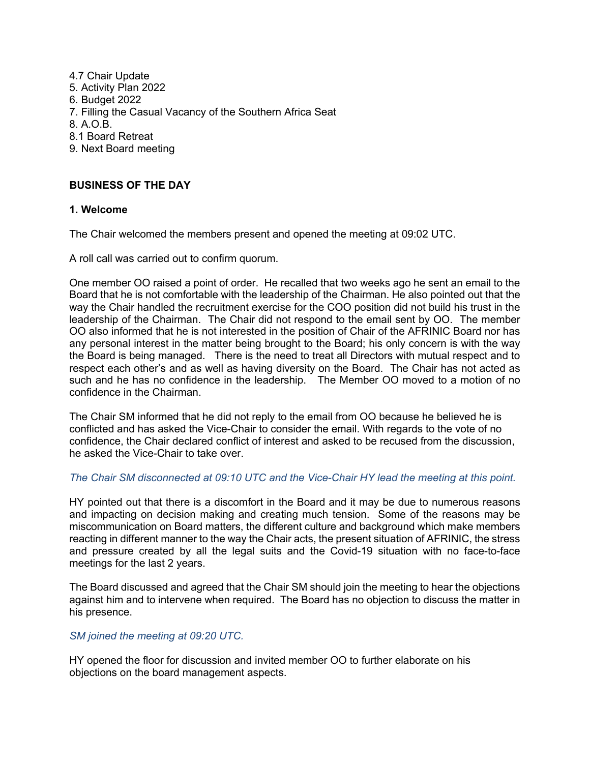4.7 Chair Update 5. Activity Plan 2022 6. Budget 2022 7. Filling the Casual Vacancy of the Southern Africa Seat 8. A.O.B. 8.1 Board Retreat 9. Next Board meeting

# **BUSINESS OF THE DAY**

#### **1. Welcome**

The Chair welcomed the members present and opened the meeting at 09:02 UTC.

A roll call was carried out to confirm quorum.

One member OO raised a point of order. He recalled that two weeks ago he sent an email to the Board that he is not comfortable with the leadership of the Chairman. He also pointed out that the way the Chair handled the recruitment exercise for the COO position did not build his trust in the leadership of the Chairman. The Chair did not respond to the email sent by OO. The member OO also informed that he is not interested in the position of Chair of the AFRINIC Board nor has any personal interest in the matter being brought to the Board; his only concern is with the way the Board is being managed. There is the need to treat all Directors with mutual respect and to respect each other's and as well as having diversity on the Board. The Chair has not acted as such and he has no confidence in the leadership. The Member OO moved to a motion of no confidence in the Chairman.

The Chair SM informed that he did not reply to the email from OO because he believed he is conflicted and has asked the Vice-Chair to consider the email. With regards to the vote of no confidence, the Chair declared conflict of interest and asked to be recused from the discussion, he asked the Vice-Chair to take over.

#### *The Chair SM disconnected at 09:10 UTC and the Vice-Chair HY lead the meeting at this point.*

HY pointed out that there is a discomfort in the Board and it may be due to numerous reasons and impacting on decision making and creating much tension. Some of the reasons may be miscommunication on Board matters, the different culture and background which make members reacting in different manner to the way the Chair acts, the present situation of AFRINIC, the stress and pressure created by all the legal suits and the Covid-19 situation with no face-to-face meetings for the last 2 years.

The Board discussed and agreed that the Chair SM should join the meeting to hear the objections against him and to intervene when required. The Board has no objection to discuss the matter in his presence.

#### *SM joined the meeting at 09:20 UTC.*

HY opened the floor for discussion and invited member OO to further elaborate on his objections on the board management aspects.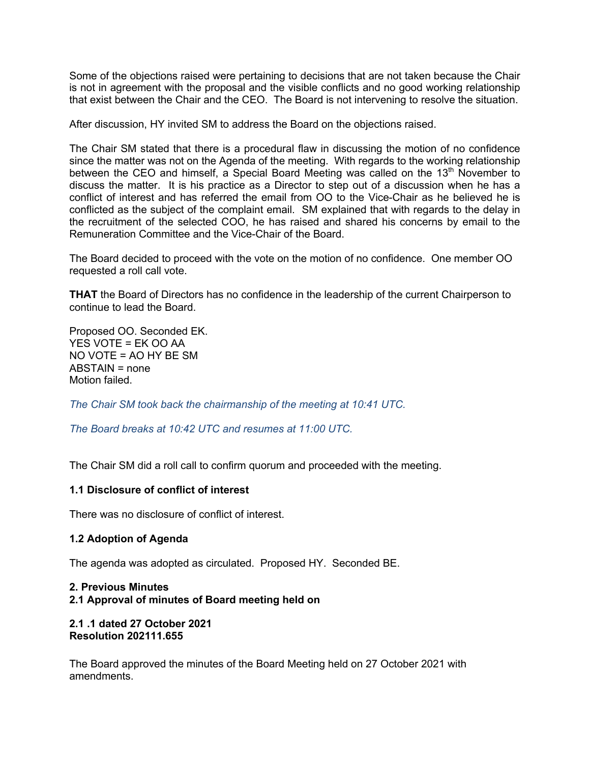Some of the objections raised were pertaining to decisions that are not taken because the Chair is not in agreement with the proposal and the visible conflicts and no good working relationship that exist between the Chair and the CEO. The Board is not intervening to resolve the situation.

After discussion, HY invited SM to address the Board on the objections raised.

The Chair SM stated that there is a procedural flaw in discussing the motion of no confidence since the matter was not on the Agenda of the meeting. With regards to the working relationship between the CEO and himself, a Special Board Meeting was called on the  $13<sup>th</sup>$  November to discuss the matter. It is his practice as a Director to step out of a discussion when he has a conflict of interest and has referred the email from OO to the Vice-Chair as he believed he is conflicted as the subject of the complaint email. SM explained that with regards to the delay in the recruitment of the selected COO, he has raised and shared his concerns by email to the Remuneration Committee and the Vice-Chair of the Board.

The Board decided to proceed with the vote on the motion of no confidence. One member OO requested a roll call vote.

**THAT** the Board of Directors has no confidence in the leadership of the current Chairperson to continue to lead the Board.

Proposed OO. Seconded EK. YES VOTE = EK OO AA NO VOTE = AO HY BE SM ABSTAIN = none Motion failed.

*The Chair SM took back the chairmanship of the meeting at 10:41 UTC.*

*The Board breaks at 10:42 UTC and resumes at 11:00 UTC.*

The Chair SM did a roll call to confirm quorum and proceeded with the meeting.

# **1.1 Disclosure of conflict of interest**

There was no disclosure of conflict of interest.

# **1.2 Adoption of Agenda**

The agenda was adopted as circulated. Proposed HY. Seconded BE.

# **2. Previous Minutes 2.1 Approval of minutes of Board meeting held on**

**2.1 .1 dated 27 October 2021 Resolution 202111.655**

The Board approved the minutes of the Board Meeting held on 27 October 2021 with amendments.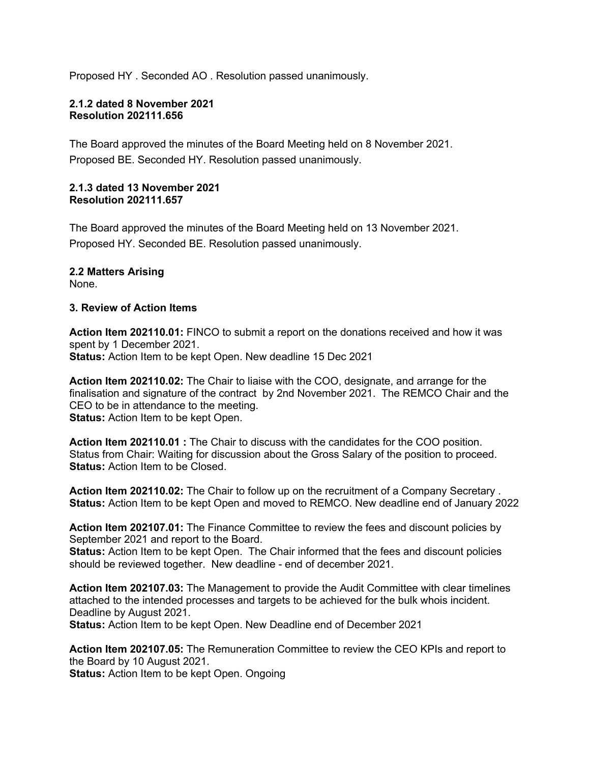Proposed HY . Seconded AO . Resolution passed unanimously.

#### **2.1.2 dated 8 November 2021 Resolution 202111.656**

The Board approved the minutes of the Board Meeting held on 8 November 2021. Proposed BE. Seconded HY. Resolution passed unanimously.

### **2.1.3 dated 13 November 2021 Resolution 202111.657**

The Board approved the minutes of the Board Meeting held on 13 November 2021. Proposed HY. Seconded BE. Resolution passed unanimously.

**2.2 Matters Arising** None.

### **3. Review of Action Items**

**Action Item 202110.01:** FINCO to submit a report on the donations received and how it was spent by 1 December 2021. **Status:** Action Item to be kept Open. New deadline 15 Dec 2021

**Action Item 202110.02:** The Chair to liaise with the COO, designate, and arrange for the finalisation and signature of the contract by 2nd November 2021. The REMCO Chair and the CEO to be in attendance to the meeting. **Status:** Action Item to be kept Open.

**Action Item 202110.01 :** The Chair to discuss with the candidates for the COO position. Status from Chair: Waiting for discussion about the Gross Salary of the position to proceed. **Status:** Action Item to be Closed.

**Action Item 202110.02:** The Chair to follow up on the recruitment of a Company Secretary . **Status:** Action Item to be kept Open and moved to REMCO. New deadline end of January 2022

**Action Item 202107.01:** The Finance Committee to review the fees and discount policies by September 2021 and report to the Board.

**Status:** Action Item to be kept Open. The Chair informed that the fees and discount policies should be reviewed together. New deadline - end of december 2021.

**Action Item 202107.03:** The Management to provide the Audit Committee with clear timelines attached to the intended processes and targets to be achieved for the bulk whois incident. Deadline by August 2021.

**Status:** Action Item to be kept Open. New Deadline end of December 2021

**Action Item 202107.05:** The Remuneration Committee to review the CEO KPIs and report to the Board by 10 August 2021.

**Status:** Action Item to be kept Open. Ongoing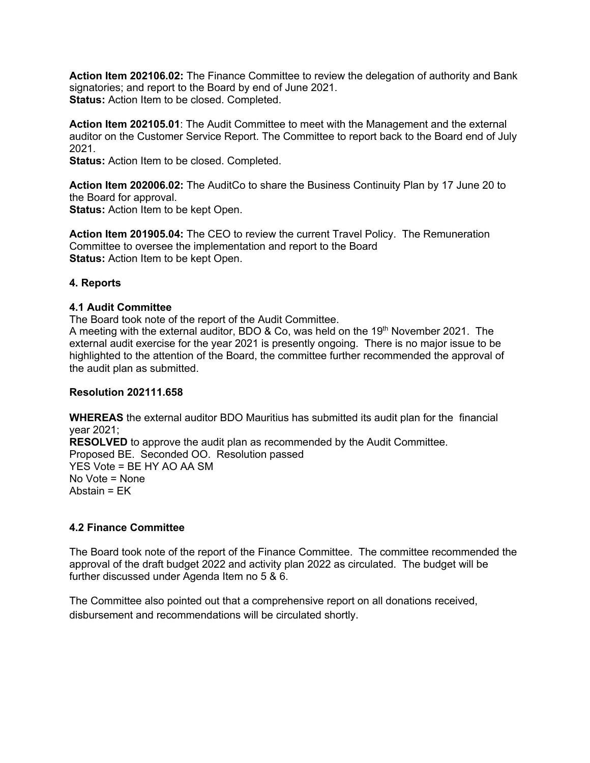**Action Item 202106.02:** The Finance Committee to review the delegation of authority and Bank signatories; and report to the Board by end of June 2021. **Status:** Action Item to be closed. Completed.

**Action Item 202105.01**: The Audit Committee to meet with the Management and the external auditor on the Customer Service Report. The Committee to report back to the Board end of July 2021.

**Status:** Action Item to be closed. Completed.

**Action Item 202006.02:** The AuditCo to share the Business Continuity Plan by 17 June 20 to the Board for approval. **Status:** Action Item to be kept Open.

**Action Item 201905.04:** The CEO to review the current Travel Policy. The Remuneration Committee to oversee the implementation and report to the Board **Status:** Action Item to be kept Open.

# **4. Reports**

### **4.1 Audit Committee**

The Board took note of the report of the Audit Committee.

A meeting with the external auditor, BDO & Co, was held on the  $19<sup>th</sup>$  November 2021. The external audit exercise for the year 2021 is presently ongoing. There is no major issue to be highlighted to the attention of the Board, the committee further recommended the approval of the audit plan as submitted.

#### **Resolution 202111.658**

**WHEREAS** the external auditor BDO Mauritius has submitted its audit plan for the financial year 2021; **RESOLVED** to approve the audit plan as recommended by the Audit Committee. Proposed BE. Seconded OO. Resolution passed

YES Vote = BE HY AO AA SM No Vote = None Abstain = EK

# **4.2 Finance Committee**

The Board took note of the report of the Finance Committee. The committee recommended the approval of the draft budget 2022 and activity plan 2022 as circulated. The budget will be further discussed under Agenda Item no 5 & 6.

The Committee also pointed out that a comprehensive report on all donations received, disbursement and recommendations will be circulated shortly.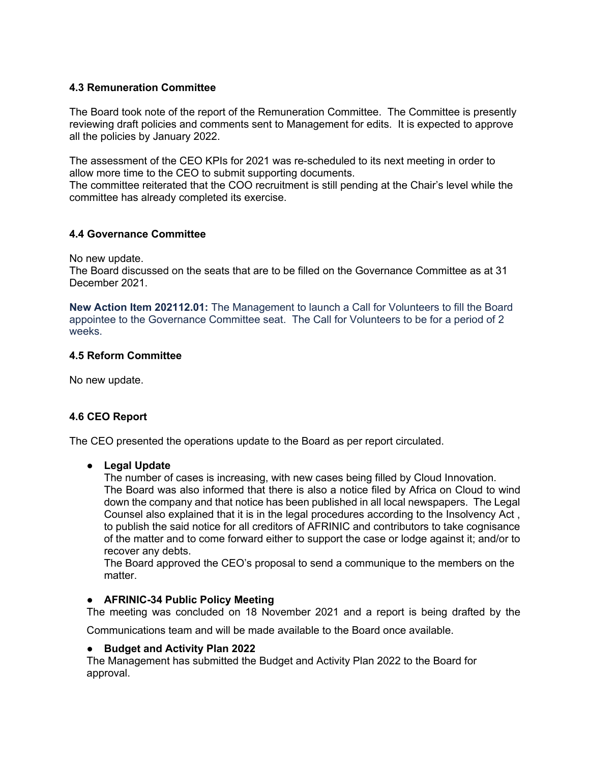# **4.3 Remuneration Committee**

The Board took note of the report of the Remuneration Committee. The Committee is presently reviewing draft policies and comments sent to Management for edits. It is expected to approve all the policies by January 2022.

The assessment of the CEO KPIs for 2021 was re-scheduled to its next meeting in order to allow more time to the CEO to submit supporting documents.

The committee reiterated that the COO recruitment is still pending at the Chair's level while the committee has already completed its exercise.

# **4.4 Governance Committee**

No new update.

The Board discussed on the seats that are to be filled on the Governance Committee as at 31 December 2021.

**New Action Item 202112.01:** The Management to launch a Call for Volunteers to fill the Board appointee to the Governance Committee seat. The Call for Volunteers to be for a period of 2 weeks.

# **4.5 Reform Committee**

No new update.

# **4.6 CEO Report**

The CEO presented the operations update to the Board as per report circulated.

# ● **Legal Update**

The number of cases is increasing, with new cases being filled by Cloud Innovation. The Board was also informed that there is also a notice filed by Africa on Cloud to wind down the company and that notice has been published in all local newspapers. The Legal Counsel also explained that it is in the legal procedures according to the Insolvency Act , to publish the said notice for all creditors of AFRINIC and contributors to take cognisance of the matter and to come forward either to support the case or lodge against it; and/or to recover any debts.

The Board approved the CEO's proposal to send a communique to the members on the matter.

# ● **AFRINIC-34 Public Policy Meeting**

The meeting was concluded on 18 November 2021 and a report is being drafted by the

Communications team and will be made available to the Board once available.

#### ● **Budget and Activity Plan 2022**

The Management has submitted the Budget and Activity Plan 2022 to the Board for approval.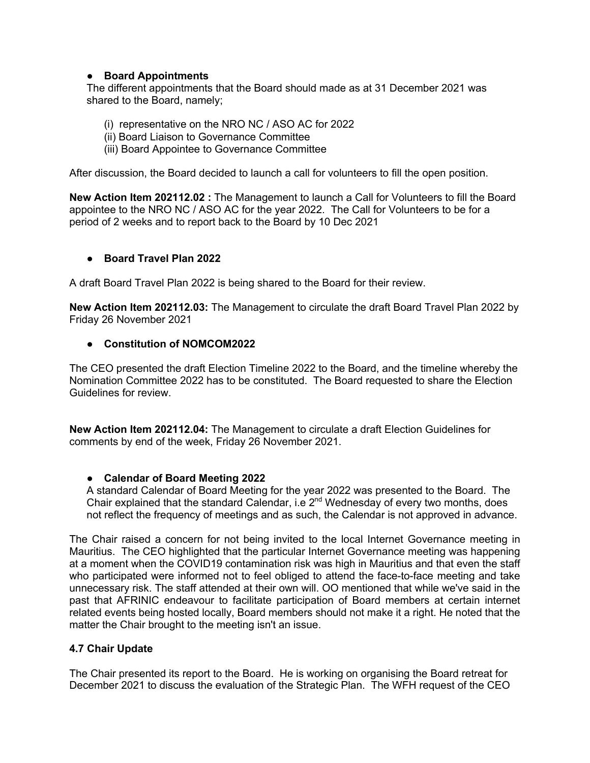# ● **Board Appointments**

The different appointments that the Board should made as at 31 December 2021 was shared to the Board, namely;

- (i) representative on the NRO NC / ASO AC for 2022
- (ii) Board Liaison to Governance Committee
- (iii) Board Appointee to Governance Committee

After discussion, the Board decided to launch a call for volunteers to fill the open position.

**New Action Item 202112.02 :** The Management to launch a Call for Volunteers to fill the Board appointee to the NRO NC / ASO AC for the year 2022. The Call for Volunteers to be for a period of 2 weeks and to report back to the Board by 10 Dec 2021

### ● **Board Travel Plan 2022**

A draft Board Travel Plan 2022 is being shared to the Board for their review.

**New Action Item 202112.03:** The Management to circulate the draft Board Travel Plan 2022 by Friday 26 November 2021

#### ● **Constitution of NOMCOM2022**

The CEO presented the draft Election Timeline 2022 to the Board, and the timeline whereby the Nomination Committee 2022 has to be constituted. The Board requested to share the Election Guidelines for review.

**New Action Item 202112.04:** The Management to circulate a draft Election Guidelines for comments by end of the week, Friday 26 November 2021.

#### ● **Calendar of Board Meeting 2022**

A standard Calendar of Board Meeting for the year 2022 was presented to the Board. The Chair explained that the standard Calendar, i.e  $2<sup>nd</sup>$  Wednesday of every two months, does not reflect the frequency of meetings and as such, the Calendar is not approved in advance.

The Chair raised a concern for not being invited to the local Internet Governance meeting in Mauritius. The CEO highlighted that the particular Internet Governance meeting was happening at a moment when the COVID19 contamination risk was high in Mauritius and that even the staff who participated were informed not to feel obliged to attend the face-to-face meeting and take unnecessary risk. The staff attended at their own will. OO mentioned that while we've said in the past that AFRINIC endeavour to facilitate participation of Board members at certain internet related events being hosted locally, Board members should not make it a right. He noted that the matter the Chair brought to the meeting isn't an issue.

# **4.7 Chair Update**

The Chair presented its report to the Board. He is working on organising the Board retreat for December 2021 to discuss the evaluation of the Strategic Plan. The WFH request of the CEO